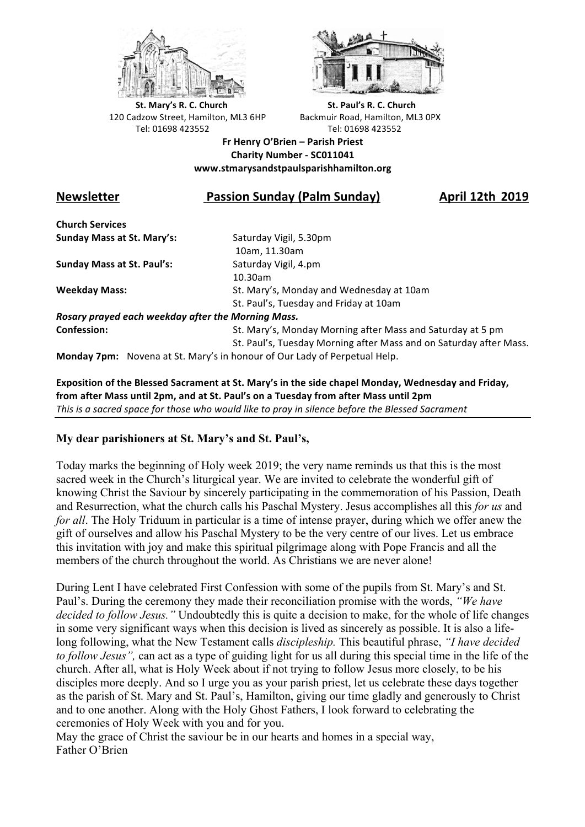



**St.** Mary's R. C. Church St. Paul's R. C. Church 120 Cadzow Street, Hamilton, ML3 6HP Backmuir Road, Hamilton, ML3 0PX Tel: 01698 423552 Tel: 01698 423552

**Fr Henry O'Brien – Parish Priest Charity Number - SC011041 www.stmarysandstpaulsparishhamilton.org**

#### **Newsletter Contaby Chalm Passion Sunday (Palm Sunday) April 12th** 2019

**Church Services Sunday Mass at St. Mary's:** Saturday Vigil, 5.30pm

**Sunday Mass at St. Paul's:** Saturday Vigil, 4.pm

 10am, 11.30am 10.30am **Weekday Mass:** St. Mary's, Monday and Wednesday at 10am St. Paul's, Tuesday and Friday at 10am

*Rosary prayed each weekday after the Morning Mass.* **Confession:** St. Mary's, Monday Morning after Mass and Saturday at 5 pm

St. Paul's, Tuesday Morning after Mass and on Saturday after Mass.

**Monday 7pm:** Novena at St. Mary's in honour of Our Lady of Perpetual Help.

Exposition of the Blessed Sacrament at St. Mary's in the side chapel Monday, Wednesday and Friday, from after Mass until 2pm, and at St. Paul's on a Tuesday from after Mass until 2pm This is a sacred space for those who would like to pray in silence before the Blessed Sacrament

#### **My dear parishioners at St. Mary's and St. Paul's,**

Today marks the beginning of Holy week 2019; the very name reminds us that this is the most sacred week in the Church's liturgical year. We are invited to celebrate the wonderful gift of knowing Christ the Saviour by sincerely participating in the commemoration of his Passion, Death and Resurrection, what the church calls his Paschal Mystery. Jesus accomplishes all this *for us* and *for all*. The Holy Triduum in particular is a time of intense prayer, during which we offer anew the gift of ourselves and allow his Paschal Mystery to be the very centre of our lives. Let us embrace this invitation with joy and make this spiritual pilgrimage along with Pope Francis and all the members of the church throughout the world. As Christians we are never alone!

During Lent I have celebrated First Confession with some of the pupils from St. Mary's and St. Paul's. During the ceremony they made their reconciliation promise with the words, *"We have decided to follow Jesus."* Undoubtedly this is quite a decision to make, for the whole of life changes in some very significant ways when this decision is lived as sincerely as possible. It is also a lifelong following, what the New Testament calls *discipleship.* This beautiful phrase, *"I have decided to follow Jesus",* can act as a type of guiding light for us all during this special time in the life of the church. After all, what is Holy Week about if not trying to follow Jesus more closely, to be his disciples more deeply. And so I urge you as your parish priest, let us celebrate these days together as the parish of St. Mary and St. Paul's, Hamilton, giving our time gladly and generously to Christ and to one another. Along with the Holy Ghost Fathers, I look forward to celebrating the ceremonies of Holy Week with you and for you.

May the grace of Christ the saviour be in our hearts and homes in a special way, Father O'Brien